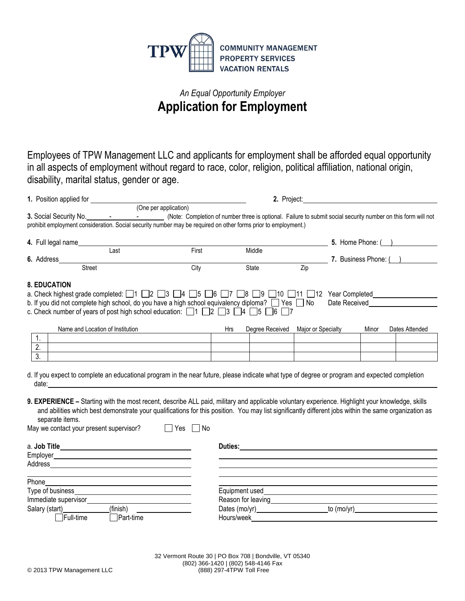

## *An Equal Opportunity Employer* **Application for Employment**

Employees of TPW Management LLC and applicants for employment shall be afforded equal opportunity in all aspects of employment without regard to race, color, religion, political affiliation, national origin, disability, marital status, gender or age.

| 1. Position applied for |                                                                                                                                                                                                                               |                                              |     | 2. Project:                                                                                                                                                                                                                    |                       |                           |       |                |
|-------------------------|-------------------------------------------------------------------------------------------------------------------------------------------------------------------------------------------------------------------------------|----------------------------------------------|-----|--------------------------------------------------------------------------------------------------------------------------------------------------------------------------------------------------------------------------------|-----------------------|---------------------------|-------|----------------|
|                         |                                                                                                                                                                                                                               | (One per application)                        |     |                                                                                                                                                                                                                                |                       |                           |       |                |
|                         |                                                                                                                                                                                                                               |                                              |     |                                                                                                                                                                                                                                |                       |                           |       |                |
|                         | prohibit employment consideration. Social security number may be required on other forms prior to employment.)                                                                                                                |                                              |     |                                                                                                                                                                                                                                |                       |                           |       |                |
| 4. Full legal name      |                                                                                                                                                                                                                               |                                              |     |                                                                                                                                                                                                                                |                       | 5. Home Phone: $( )$      |       |                |
|                         | Last                                                                                                                                                                                                                          | First                                        |     | Middle                                                                                                                                                                                                                         |                       |                           |       |                |
| 6. Address              |                                                                                                                                                                                                                               |                                              |     |                                                                                                                                                                                                                                | 7. Business Phone: () |                           |       |                |
|                         | <b>Street</b>                                                                                                                                                                                                                 | City                                         |     | State                                                                                                                                                                                                                          | Zip                   |                           |       |                |
| <b>8. EDUCATION</b>     |                                                                                                                                                                                                                               |                                              |     |                                                                                                                                                                                                                                |                       |                           |       |                |
|                         | a. Check highest grade completed: $\Box$ 1 $\Box$ 2 $\Box$ 3 $\Box$ 4 $\Box$ 5 $\Box$ 6 $\Box$ 7 $\Box$ 8 $\Box$ 9 $\Box$ 10 $\Box$ 11 $\Box$ 12 Year Completed                                                               |                                              |     |                                                                                                                                                                                                                                |                       |                           |       |                |
|                         | b. If you did not complete high school, do you have a high school equivalency diploma? $\Box$ Yes $\Box$ No                                                                                                                   |                                              |     |                                                                                                                                                                                                                                |                       | Date Received <b>Date</b> |       |                |
|                         | c. Check number of years of post high school education: $\Box$ 1 $\Box$ 2 $\Box$ 3 $\Box$ 4 $\Box$ 5 $\Box$ 6 $\Box$ 7                                                                                                        |                                              |     |                                                                                                                                                                                                                                |                       |                           |       |                |
|                         | Name and Location of Institution                                                                                                                                                                                              |                                              | Hrs | Degree Received                                                                                                                                                                                                                | Major or Specialty    |                           | Minor | Dates Attended |
| 1.                      |                                                                                                                                                                                                                               |                                              |     |                                                                                                                                                                                                                                |                       |                           |       |                |
| $\overline{2}$ .        |                                                                                                                                                                                                                               |                                              |     |                                                                                                                                                                                                                                |                       |                           |       |                |
| $\overline{3}$ .        |                                                                                                                                                                                                                               | the control of the control of the control of |     |                                                                                                                                                                                                                                |                       |                           |       |                |
|                         |                                                                                                                                                                                                                               |                                              |     |                                                                                                                                                                                                                                |                       |                           |       |                |
|                         | d. If you expect to complete an educational program in the near future, please indicate what type of degree or program and expected completion                                                                                |                                              |     |                                                                                                                                                                                                                                |                       |                           |       |                |
|                         |                                                                                                                                                                                                                               |                                              |     |                                                                                                                                                                                                                                |                       |                           |       |                |
|                         |                                                                                                                                                                                                                               |                                              |     |                                                                                                                                                                                                                                |                       |                           |       |                |
|                         | 9. EXPERIENCE - Starting with the most recent, describe ALL paid, military and applicable voluntary experience. Highlight your knowledge, skills                                                                              |                                              |     |                                                                                                                                                                                                                                |                       |                           |       |                |
|                         | and abilities which best demonstrate your qualifications for this position. You may list significantly different jobs within the same organization as                                                                         |                                              |     |                                                                                                                                                                                                                                |                       |                           |       |                |
| separate items.         |                                                                                                                                                                                                                               |                                              |     |                                                                                                                                                                                                                                |                       |                           |       |                |
|                         | May we contact your present supervisor?                                                                                                                                                                                       | $\Box$ Yes<br>∣No                            |     |                                                                                                                                                                                                                                |                       |                           |       |                |
|                         |                                                                                                                                                                                                                               |                                              |     |                                                                                                                                                                                                                                |                       |                           |       |                |
|                         |                                                                                                                                                                                                                               |                                              |     |                                                                                                                                                                                                                                |                       |                           |       |                |
|                         |                                                                                                                                                                                                                               |                                              |     |                                                                                                                                                                                                                                |                       |                           |       |                |
|                         |                                                                                                                                                                                                                               |                                              |     |                                                                                                                                                                                                                                |                       |                           |       |                |
| Phone                   |                                                                                                                                                                                                                               |                                              |     |                                                                                                                                                                                                                                |                       |                           |       |                |
|                         |                                                                                                                                                                                                                               |                                              |     |                                                                                                                                                                                                                                |                       |                           |       |                |
|                         | Immediate supervisor experience and the state of the state of the state of the state of the state of the state of the state of the state of the state of the state of the state of the state of the state of the state of the |                                              |     |                                                                                                                                                                                                                                |                       |                           |       |                |
| Salary (start)          | (finish)                                                                                                                                                                                                                      |                                              |     |                                                                                                                                                                                                                                |                       | to (mo/yr)_____________   |       |                |
| $\Box$ Full-time        | $\Box$ Part-time                                                                                                                                                                                                              |                                              |     | Hours/week and the state of the state of the state of the state of the state of the state of the state of the state of the state of the state of the state of the state of the state of the state of the state of the state of |                       |                           |       |                |
|                         |                                                                                                                                                                                                                               |                                              |     |                                                                                                                                                                                                                                |                       |                           |       |                |